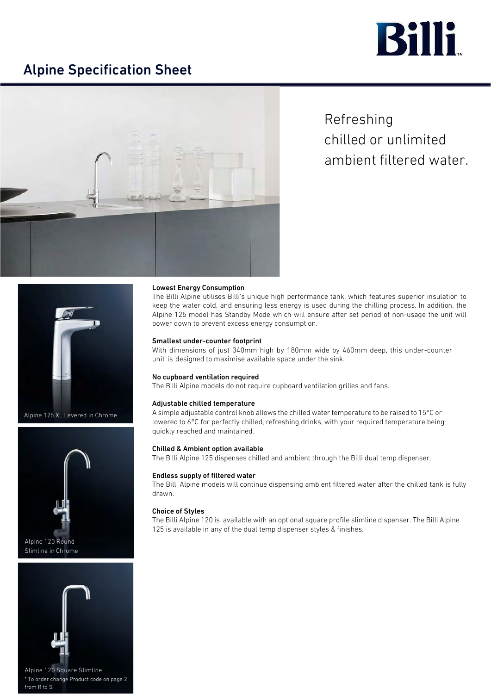

# Alpine Specification Sheet



Refreshing chilled or unlimited ambient filtered water.



Alpine 125 XL Levered in Chrome





\* To order change Product code on page 2 from R to S

# Lowest Energy Consumption

The Billi Alpine utilises Billi's unique high performance tank, which features superior insulation to keep the water cold, and ensuring less energy is used during the chilling process. In addition, the Alpine 125 model has Standby Mode which will ensure after set period of non-usage the unit will power down to prevent excess energy consumption.

## Smallest under-counter footprint

With dimensions of just 340mm high by 180mm wide by 460mm deep, this under-counter unit is designed to maximise available space under the sink.

### No cupboard ventilation required

The Billi Alpine models do not require cupboard ventilation grilles and fans.

# Adjustable chilled temperature

A simple adjustable control knob allows the chilled water temperature to be raised to 15°C or lowered to 6°C for perfectly chilled, refreshing drinks, with your required temperature being quickly reached and maintained.

### Chilled & Ambient option available

The Billi Alpine 125 dispenses chilled and ambient through the Billi dual temp dispenser.

# Endless supply of filtered water

The Billi Alpine models will continue dispensing ambient filtered water after the chilled tank is fully drawn.

# Choice of Styles

The Billi Alpine 120 is available with an optional square profile slimline dispenser. The Billi Alpine 125 is available in any of the dual temp dispenser styles & finishes.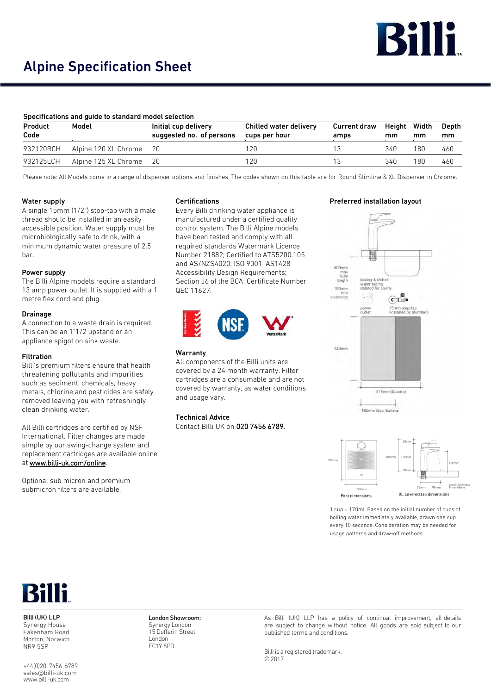

# Alpine Specification Sheet

# Specifications and guide to standard model selection

| Product<br>Code | Model                   | Initial cup delivery<br>suggested no. of persons | Chilled water delivery<br>cups per hour | Current draw<br>amps | Height Width<br>mm | mm  | Depth<br>mm |
|-----------------|-------------------------|--------------------------------------------------|-----------------------------------------|----------------------|--------------------|-----|-------------|
| 932120RCH       | Alpine 120 XL Chrome 20 |                                                  | 120                                     |                      | 340                | 180 | 460         |
| 932125LCH       | Alpine 125 XL Chrome    | - 20                                             | 120                                     |                      | 340                | 180 | 460         |

Please note: All Models come in a range of dispenser options and finishes. The codes shown on this table are for Round Slimline & XL Dispenser in Chrome.

# Water supply

A single 15mm (1/2") stop-tap with a male thread should be installed in an easily accessible position. Water supply must be microbiologically safe to drink, with a minimum dynamic water pressure of 2.5 bar.

# Power supply

The Billi Alpine models require a standard 13 amp power outlet. It is supplied with a 1 metre flex cord and plug.

# Drainage

A connection to a waste drain is required. This can be an 1"1/2 upstand or an appliance spigot on sink waste.

# Filtration

Billi's premium filters ensure that health threatening pollutants and impurities such as sediment, chemicals, heavy metals, chlorine and pesticides are safely removed leaving you with refre[shingly](http://www.billi-uk.com/online)  clean drinking water.

All Billi cartridges are certified by NSF International. Filter changes are made simple by our swing-change system and replacement cartridges are available online at [www.billi-uk.com/online.](http://www.billi-uk.com/online)

[Opt](http://www.billi-uk.com)ional sub micron and premium submicron filters are available.

# Certifications

Every Billi drinking water appliance is manufactured under a certified quality control system. The Billi Alpine models have been tested and comply with all required standards Watermark Licence Number 21882; Certified to ATS5200.105 and AS/NZS4020; ISO 9001; AS1428 Accessibility Design Requirements; Section J6 of the BCA; Certificate Number QEC 11627.



# Warranty

All components of the Billi units are covered by a 24 month warranty. Filter cartridges are a consumable and are not covered by warranty, as water conditions and usage vary.

# Technical Advice

Contact Billi UK on 020 7456 6789.

# Preferred installation layout





1 cup = 170ml. Based on the initial number of cups of boiling water immediately available, drawn one cup every 10 seconds. Consideration may be needed for usage patterns and draw-off methods.



Billi (UK) LLP Synergy House Fakenham Road Morton, Norwich NR9 5SP

[+44\(0\)20](mailto:6789sales@billi-uk.comwww.billi-uk.com) 7456 6789 [sales@billi-uk.com](mailto:6789sales@billi-uk.comwww.billi-uk.com) [www.billi-uk.com](http://www.billi-uk.com)

London Showroom: Synergy London 15 Dufferin Street London EC1Y 8PD

As Billi (UK) LLP has a policy of continual improvement, all details are subject to change without notice. All goods are sold subject to our published terms and conditions.

Billi is a registered trademark. © 2017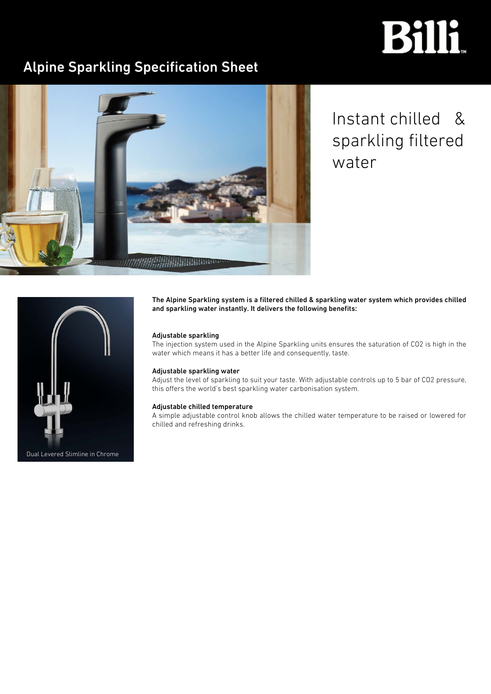# **Billi**

# Alpine Sparkling Specification Sheet



Instant chilled & sparkling filtered water



The Alpine Sparkling system is a filtered chilled & sparkling water system which provides chilled and sparkling water instantly. It delivers the following benefits:

# Adjustable sparkling

The injection system used in the Alpine Sparkling units ensures the saturation of CO2 is high in the water which means it has a better life and consequently, taste.

# Adjustable sparkling water

Adjust the level of sparkling to suit your taste. With adjustable controls up to 5 bar of CO2 pressure, this offers the world's best sparkling water carbonisation system.

# Adjustable chilled temperature

A simple adjustable control knob allows the chilled water temperature to be raised or lowered for chilled and refreshing drinks.